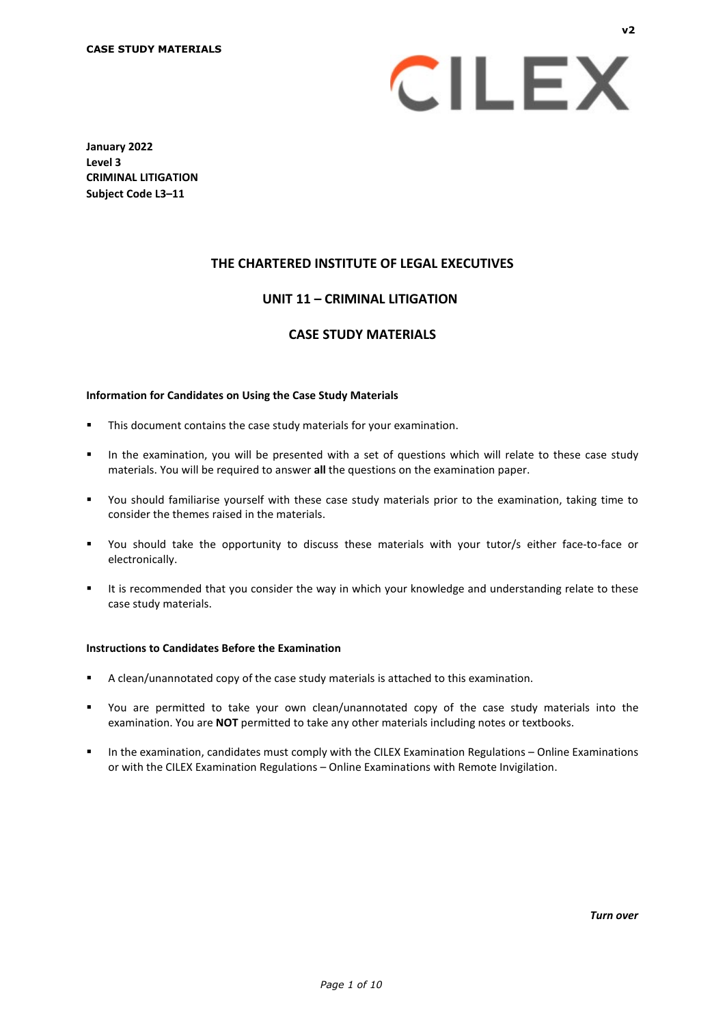

**January 2022 Level 3 CRIMINAL LITIGATION Subject Code L3–11**

# **THE CHARTERED INSTITUTE OF LEGAL EXECUTIVES**

# **UNIT 11 – CRIMINAL LITIGATION\***

# **CASE STUDY MATERIALS**

#### **Information for Candidates on Using the Case Study Materials**

- This document contains the case study materials for your examination.
- In the examination, you will be presented with a set of questions which will relate to these case study materials. You will be required to answer **all** the questions on the examination paper.
- You should familiarise yourself with these case study materials prior to the examination, taking time to consider the themes raised in the materials.
- You should take the opportunity to discuss these materials with your tutor/s either face-to-face or electronically.
- It is recommended that you consider the way in which your knowledge and understanding relate to these case study materials.

#### **Instructions to Candidates Before the Examination**

- A clean/unannotated copy of the case study materials is attached to this examination.
- You are permitted to take your own clean/unannotated copy of the case study materials into the examination. You are **NOT** permitted to take any other materials including notes or textbooks.
- In the examination, candidates must comply with the CILEX Examination Regulations Online Examinations or with the CILEX Examination Regulations – Online Examinations with Remote Invigilation.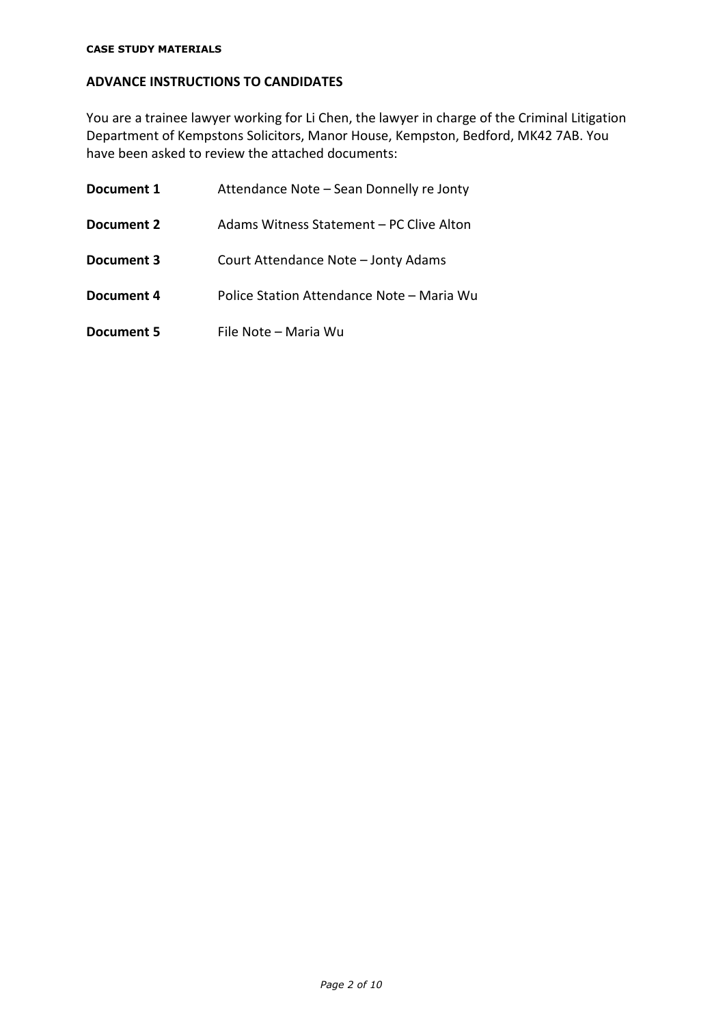# **ADVANCE INSTRUCTIONS TO CANDIDATES**

You are a trainee lawyer working for Li Chen, the lawyer in charge of the Criminal Litigation Department of Kempstons Solicitors, Manor House, Kempston, Bedford, MK42 7AB. You have been asked to review the attached documents:

| Document 1 | Attendance Note - Sean Donnelly re Jonty  |
|------------|-------------------------------------------|
| Document 2 | Adams Witness Statement – PC Clive Alton  |
| Document 3 | Court Attendance Note - Jonty Adams       |
| Document 4 | Police Station Attendance Note – Maria Wu |
| Document 5 | File Note - Maria Wu                      |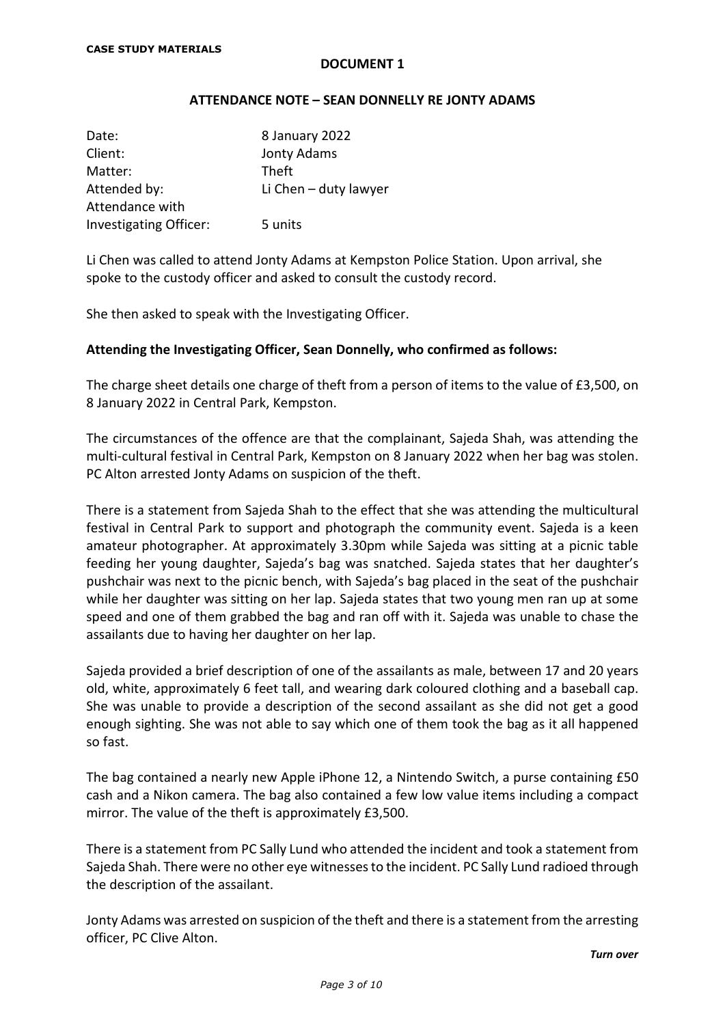#### **ATTENDANCE NOTE – SEAN DONNELLY RE JONTY ADAMS**

| Date:                         | 8 January 2022        |
|-------------------------------|-----------------------|
| Client:                       | Jonty Adams           |
| Matter:                       | Theft                 |
| Attended by:                  | Li Chen - duty lawyer |
| Attendance with               |                       |
| <b>Investigating Officer:</b> | 5 units               |

Li Chen was called to attend Jonty Adams at Kempston Police Station. Upon arrival, she spoke to the custody officer and asked to consult the custody record.

She then asked to speak with the Investigating Officer.

## **Attending the Investigating Officer, Sean Donnelly, who confirmed as follows:**

The charge sheet details one charge of theft from a person of items to the value of £3,500, on 8 January 2022 in Central Park, Kempston.

The circumstances of the offence are that the complainant, Sajeda Shah, was attending the multi-cultural festival in Central Park, Kempston on 8 January 2022 when her bag was stolen. PC Alton arrested Jonty Adams on suspicion of the theft.

There is a statement from Sajeda Shah to the effect that she was attending the multicultural festival in Central Park to support and photograph the community event. Sajeda is a keen amateur photographer. At approximately 3.30pm while Sajeda was sitting at a picnic table feeding her young daughter, Sajeda's bag was snatched. Sajeda states that her daughter's pushchair was next to the picnic bench, with Sajeda's bag placed in the seat of the pushchair while her daughter was sitting on her lap. Sajeda states that two young men ran up at some speed and one of them grabbed the bag and ran off with it. Sajeda was unable to chase the assailants due to having her daughter on her lap.

Sajeda provided a brief description of one of the assailants as male, between 17 and 20 years old, white, approximately 6 feet tall, and wearing dark coloured clothing and a baseball cap. She was unable to provide a description of the second assailant as she did not get a good enough sighting. She was not able to say which one of them took the bag as it all happened so fast.

The bag contained a nearly new Apple iPhone 12, a Nintendo Switch, a purse containing £50 cash and a Nikon camera. The bag also contained a few low value items including a compact mirror. The value of the theft is approximately £3,500.

There is a statement from PC Sally Lund who attended the incident and took a statement from Sajeda Shah. There were no other eye witnesses to the incident. PC Sally Lund radioed through the description of the assailant.

Jonty Adams was arrested on suspicion of the theft and there is a statement from the arresting officer, PC Clive Alton.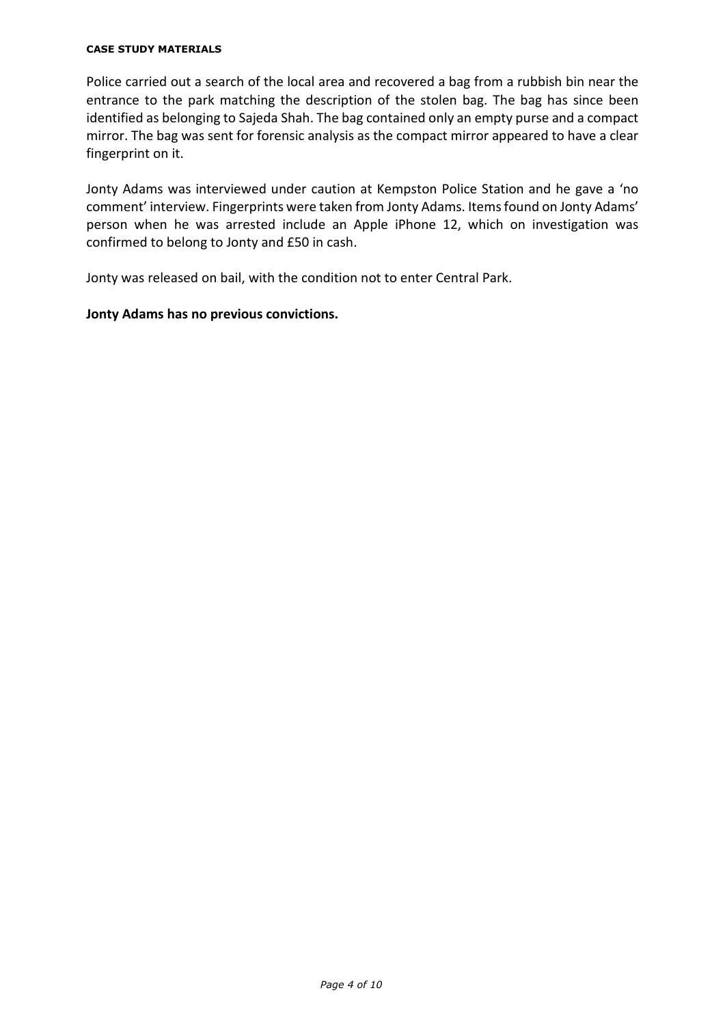#### **CASE STUDY MATERIALS**

Police carried out a search of the local area and recovered a bag from a rubbish bin near the entrance to the park matching the description of the stolen bag. The bag has since been identified as belonging to Sajeda Shah. The bag contained only an empty purse and a compact mirror. The bag was sent for forensic analysis as the compact mirror appeared to have a clear fingerprint on it.

Jonty Adams was interviewed under caution at Kempston Police Station and he gave a 'no comment' interview. Fingerprints were taken from Jonty Adams. Items found on Jonty Adams' person when he was arrested include an Apple iPhone 12, which on investigation was confirmed to belong to Jonty and £50 in cash.

Jonty was released on bail, with the condition not to enter Central Park.

## **Jonty Adams has no previous convictions.**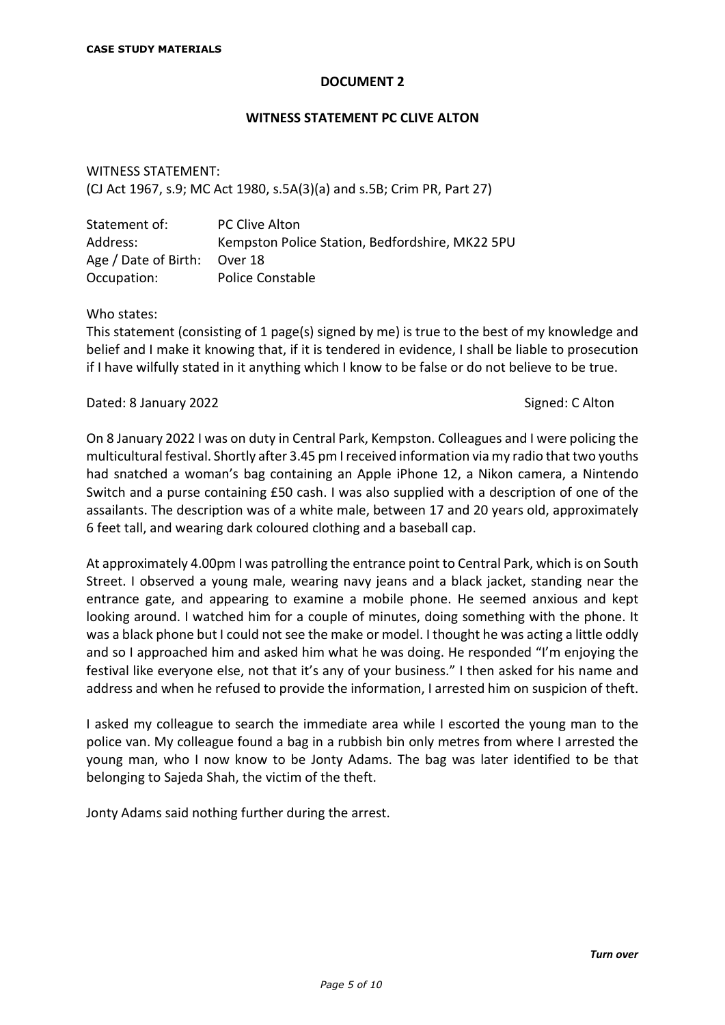#### **WITNESS STATEMENT PC CLIVE ALTON**

WITNESS STATEMENT: (CJ Act 1967, s.9; MC Act 1980, s.5A(3)(a) and s.5B; Crim PR, Part 27)

| Statement of:                | <b>PC Clive Alton</b>                           |
|------------------------------|-------------------------------------------------|
| Address:                     | Kempston Police Station, Bedfordshire, MK22 5PU |
| Age / Date of Birth: Over 18 |                                                 |
| Occupation:                  | <b>Police Constable</b>                         |

Who states:

This statement (consisting of 1 page(s) signed by me) is true to the best of my knowledge and belief and I make it knowing that, if it is tendered in evidence, I shall be liable to prosecution if I have wilfully stated in it anything which I know to be false or do not believe to be true.

Dated: 8 January 2022 **Signed: C Alton** 

On 8 January 2022 I was on duty in Central Park, Kempston. Colleagues and I were policing the multicultural festival. Shortly after 3.45 pm I received information via my radio that two youths had snatched a woman's bag containing an Apple iPhone 12, a Nikon camera, a Nintendo Switch and a purse containing £50 cash. I was also supplied with a description of one of the assailants. The description was of a white male, between 17 and 20 years old, approximately 6 feet tall, and wearing dark coloured clothing and a baseball cap.

At approximately 4.00pm I was patrolling the entrance point to Central Park, which is on South Street. I observed a young male, wearing navy jeans and a black jacket, standing near the entrance gate, and appearing to examine a mobile phone. He seemed anxious and kept looking around. I watched him for a couple of minutes, doing something with the phone. It was a black phone but I could not see the make or model. I thought he was acting a little oddly and so I approached him and asked him what he was doing. He responded "I'm enjoying the festival like everyone else, not that it's any of your business." I then asked for his name and address and when he refused to provide the information, I arrested him on suspicion of theft.

I asked my colleague to search the immediate area while I escorted the young man to the police van. My colleague found a bag in a rubbish bin only metres from where I arrested the young man, who I now know to be Jonty Adams. The bag was later identified to be that belonging to Sajeda Shah, the victim of the theft.

Jonty Adams said nothing further during the arrest.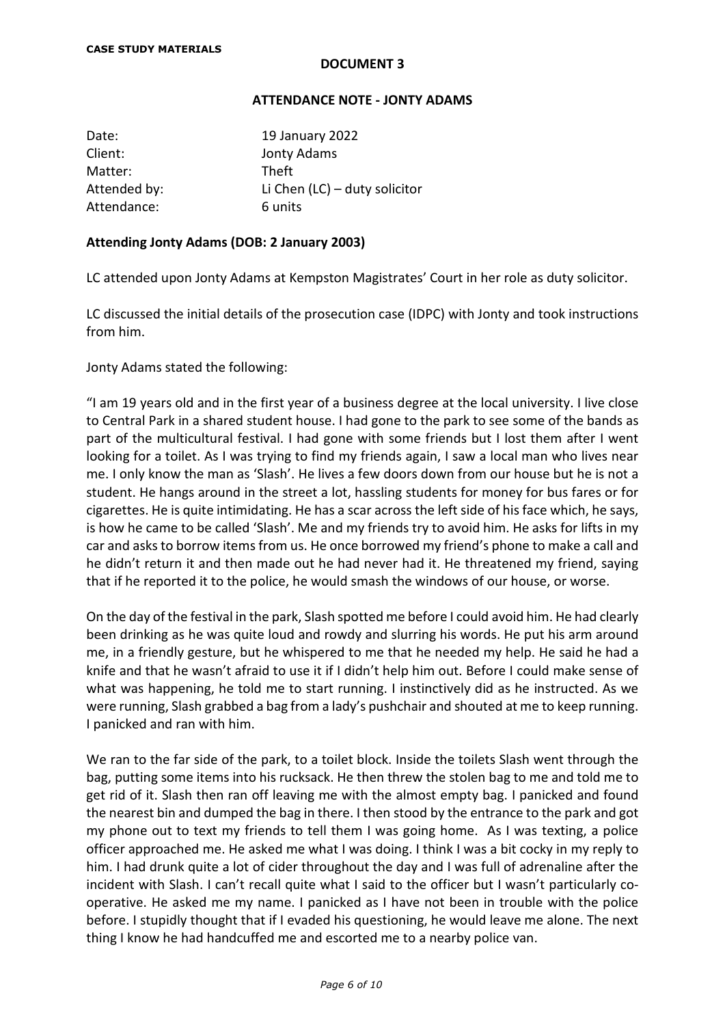# **ATTENDANCE NOTE - JONTY ADAMS**

| Date:        | 19 January 2022                 |
|--------------|---------------------------------|
| Client:      | Jonty Adams                     |
| Matter:      | Theft                           |
| Attended by: | Li Chen $(IC)$ – duty solicitor |
| Attendance:  | 6 units                         |

## **Attending Jonty Adams (DOB: 2 January 2003)**

LC attended upon Jonty Adams at Kempston Magistrates' Court in her role as duty solicitor.

LC discussed the initial details of the prosecution case (IDPC) with Jonty and took instructions from him.

Jonty Adams stated the following:

"I am 19 years old and in the first year of a business degree at the local university. I live close to Central Park in a shared student house. I had gone to the park to see some of the bands as part of the multicultural festival. I had gone with some friends but I lost them after I went looking for a toilet. As I was trying to find my friends again, I saw a local man who lives near me. I only know the man as 'Slash'. He lives a few doors down from our house but he is not a student. He hangs around in the street a lot, hassling students for money for bus fares or for cigarettes. He is quite intimidating. He has a scar across the left side of his face which, he says, is how he came to be called 'Slash'. Me and my friends try to avoid him. He asks for lifts in my car and asks to borrow items from us. He once borrowed my friend's phone to make a call and he didn't return it and then made out he had never had it. He threatened my friend, saying that if he reported it to the police, he would smash the windows of our house, or worse.

On the day of the festival in the park, Slash spotted me before I could avoid him. He had clearly been drinking as he was quite loud and rowdy and slurring his words. He put his arm around me, in a friendly gesture, but he whispered to me that he needed my help. He said he had a knife and that he wasn't afraid to use it if I didn't help him out. Before I could make sense of what was happening, he told me to start running. I instinctively did as he instructed. As we were running, Slash grabbed a bag from a lady's pushchair and shouted at me to keep running. I panicked and ran with him.

We ran to the far side of the park, to a toilet block. Inside the toilets Slash went through the bag, putting some items into his rucksack. He then threw the stolen bag to me and told me to get rid of it. Slash then ran off leaving me with the almost empty bag. I panicked and found the nearest bin and dumped the bag in there. I then stood by the entrance to the park and got my phone out to text my friends to tell them I was going home. As I was texting, a police officer approached me. He asked me what I was doing. I think I was a bit cocky in my reply to him. I had drunk quite a lot of cider throughout the day and I was full of adrenaline after the incident with Slash. I can't recall quite what I said to the officer but I wasn't particularly cooperative. He asked me my name. I panicked as I have not been in trouble with the police before. I stupidly thought that if I evaded his questioning, he would leave me alone. The next thing I know he had handcuffed me and escorted me to a nearby police van.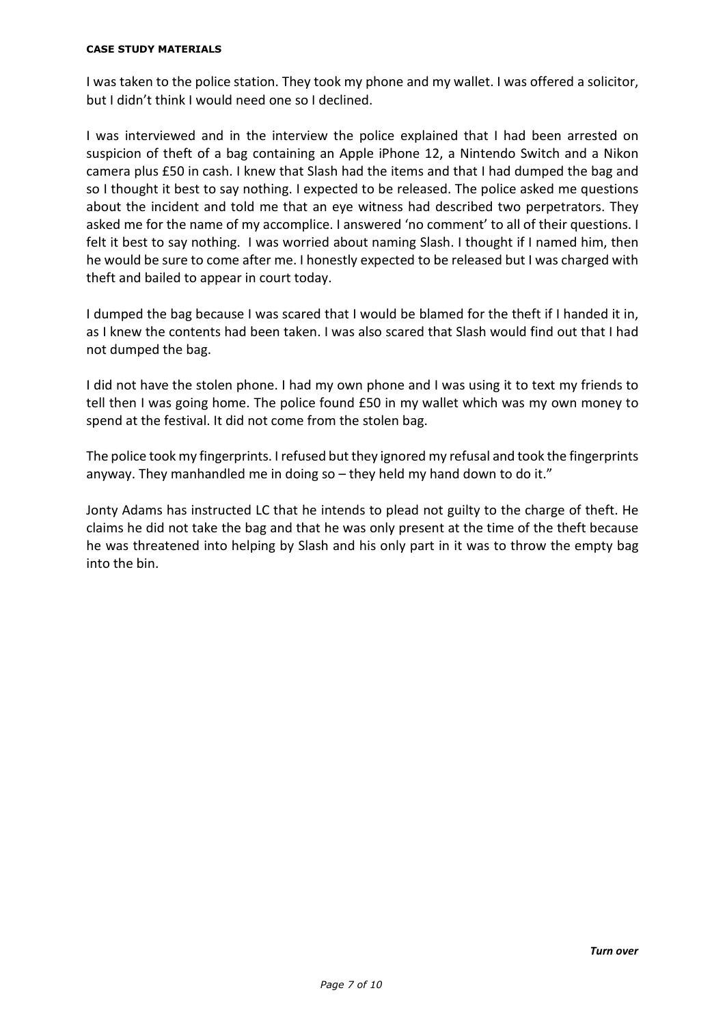#### **CASE STUDY MATERIALS**

I was taken to the police station. They took my phone and my wallet. I was offered a solicitor, but I didn't think I would need one so I declined.

I was interviewed and in the interview the police explained that I had been arrested on suspicion of theft of a bag containing an Apple iPhone 12, a Nintendo Switch and a Nikon camera plus £50 in cash. I knew that Slash had the items and that I had dumped the bag and so I thought it best to say nothing. I expected to be released. The police asked me questions about the incident and told me that an eye witness had described two perpetrators. They asked me for the name of my accomplice. I answered 'no comment' to all of their questions. I felt it best to say nothing. I was worried about naming Slash. I thought if I named him, then he would be sure to come after me. I honestly expected to be released but I was charged with theft and bailed to appear in court today.

I dumped the bag because I was scared that I would be blamed for the theft if I handed it in, as I knew the contents had been taken. I was also scared that Slash would find out that I had not dumped the bag.

I did not have the stolen phone. I had my own phone and I was using it to text my friends to tell then I was going home. The police found £50 in my wallet which was my own money to spend at the festival. It did not come from the stolen bag.

The police took my fingerprints. I refused but they ignored my refusal and took the fingerprints anyway. They manhandled me in doing so – they held my hand down to do it."

Jonty Adams has instructed LC that he intends to plead not guilty to the charge of theft. He claims he did not take the bag and that he was only present at the time of the theft because he was threatened into helping by Slash and his only part in it was to throw the empty bag into the bin.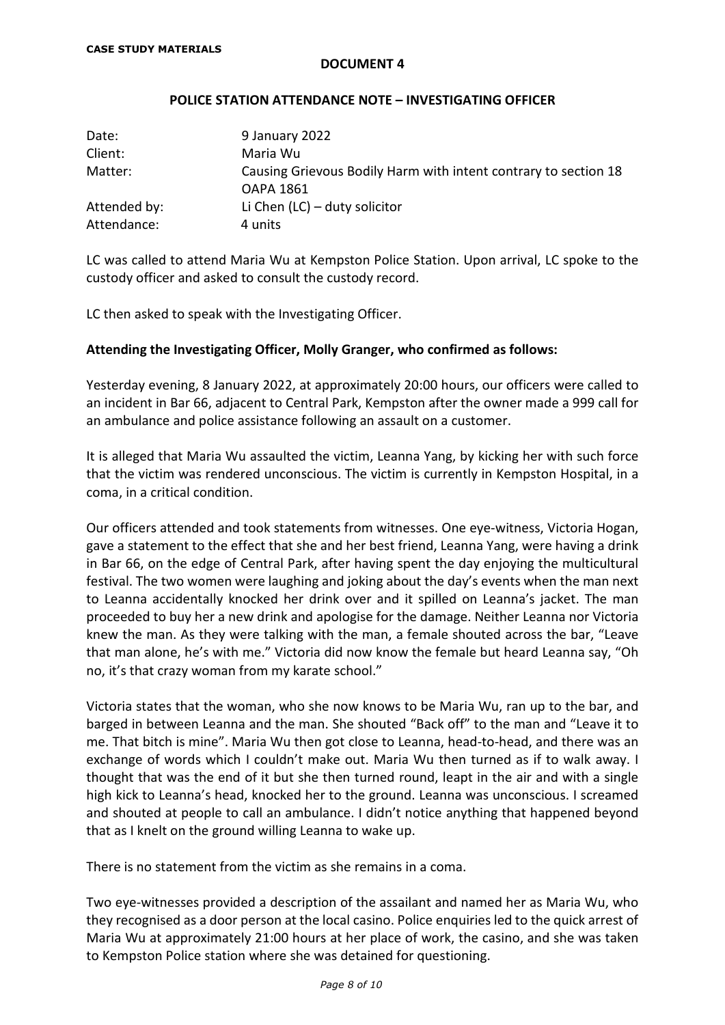### **POLICE STATION ATTENDANCE NOTE – INVESTIGATING OFFICER**

| Date:        | 9 January 2022                                                  |
|--------------|-----------------------------------------------------------------|
| Client:      | Maria Wu                                                        |
| Matter:      | Causing Grievous Bodily Harm with intent contrary to section 18 |
|              | OAPA 1861                                                       |
| Attended by: | Li Chen $(LC)$ – duty solicitor                                 |
| Attendance:  | 4 units                                                         |

LC was called to attend Maria Wu at Kempston Police Station. Upon arrival, LC spoke to the custody officer and asked to consult the custody record.

LC then asked to speak with the Investigating Officer.

# **Attending the Investigating Officer, Molly Granger, who confirmed as follows:**

Yesterday evening, 8 January 2022, at approximately 20:00 hours, our officers were called to an incident in Bar 66, adjacent to Central Park, Kempston after the owner made a 999 call for an ambulance and police assistance following an assault on a customer.

It is alleged that Maria Wu assaulted the victim, Leanna Yang, by kicking her with such force that the victim was rendered unconscious. The victim is currently in Kempston Hospital, in a coma, in a critical condition.

Our officers attended and took statements from witnesses. One eye-witness, Victoria Hogan, gave a statement to the effect that she and her best friend, Leanna Yang, were having a drink in Bar 66, on the edge of Central Park, after having spent the day enjoying the multicultural festival. The two women were laughing and joking about the day's events when the man next to Leanna accidentally knocked her drink over and it spilled on Leanna's jacket. The man proceeded to buy her a new drink and apologise for the damage. Neither Leanna nor Victoria knew the man. As they were talking with the man, a female shouted across the bar, "Leave that man alone, he's with me." Victoria did now know the female but heard Leanna say, "Oh no, it's that crazy woman from my karate school."

Victoria states that the woman, who she now knows to be Maria Wu, ran up to the bar, and barged in between Leanna and the man. She shouted "Back off" to the man and "Leave it to me. That bitch is mine". Maria Wu then got close to Leanna, head-to-head, and there was an exchange of words which I couldn't make out. Maria Wu then turned as if to walk away. I thought that was the end of it but she then turned round, leapt in the air and with a single high kick to Leanna's head, knocked her to the ground. Leanna was unconscious. I screamed and shouted at people to call an ambulance. I didn't notice anything that happened beyond that as I knelt on the ground willing Leanna to wake up.

There is no statement from the victim as she remains in a coma.

Two eye-witnesses provided a description of the assailant and named her as Maria Wu, who they recognised as a door person at the local casino. Police enquiries led to the quick arrest of Maria Wu at approximately 21:00 hours at her place of work, the casino, and she was taken to Kempston Police station where she was detained for questioning.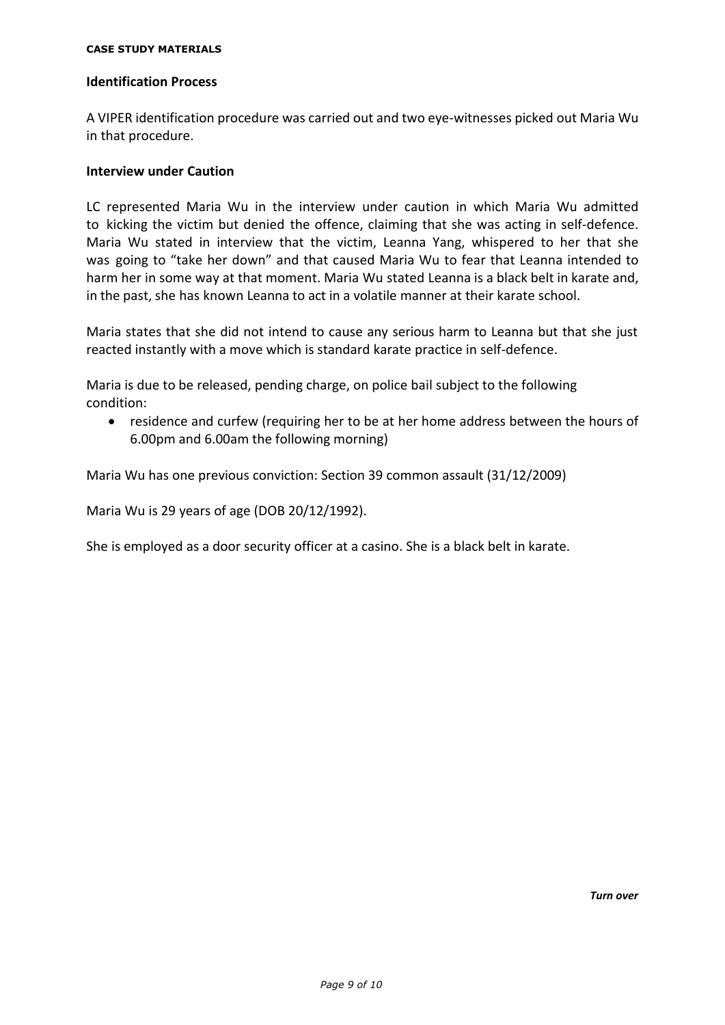#### **CASE STUDY MATERIALS**

#### **Identification Process**

A VIPER identification procedure was carried out and two eye-witnesses picked out Maria Wu in that procedure.

### **Interview under Caution**

LC represented Maria Wu in the interview under caution in which Maria Wu admitted to kicking the victim but denied the offence, claiming that she was acting in self-defence. Maria Wu stated in interview that the victim, Leanna Yang, whispered to her that she was going to "take her down" and that caused Maria Wu to fear that Leanna intended to harm her in some way at that moment. Maria Wu stated Leanna is a black belt in karate and, in the past, she has known Leanna to act in a volatile manner at their karate school.

Maria states that she did not intend to cause any serious harm to Leanna but that she just reacted instantly with a move which is standard karate practice in self-defence.

Maria is due to be released, pending charge, on police bail subject to the following condition:

• residence and curfew (requiring her to be at her home address between the hours of 6.00pm and 6.00am the following morning)

Maria Wu has one previous conviction: Section 39 common assault (31/12/2009)

Maria Wu is 29 years of age (DOB 20/12/1992).

She is employed as a door security officer at a casino. She is a black belt in karate.